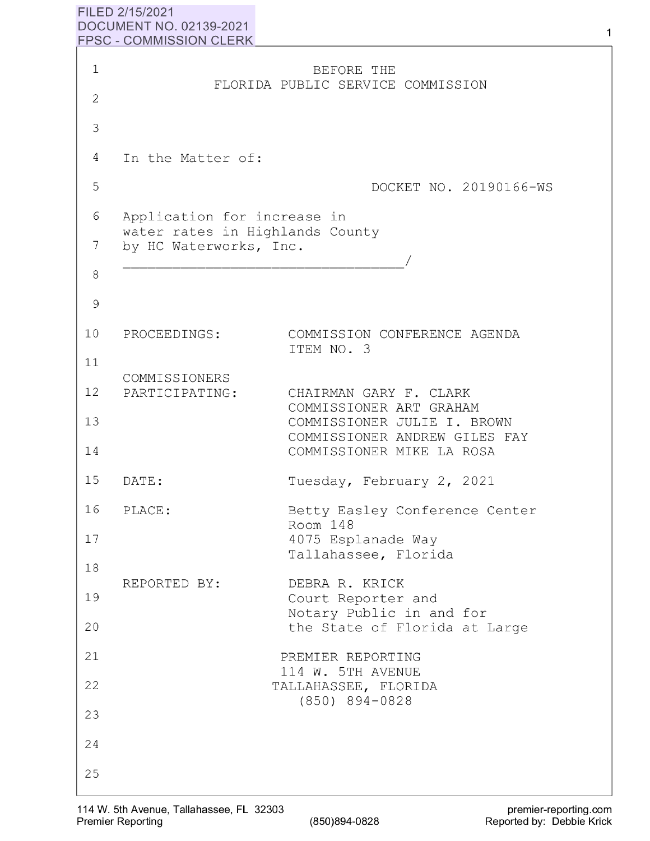## **FILED 2/15/2021 DOCUMENT NO. 02139-2021** <sup>1</sup>  $FPSC - COMMISSION CLERK$

| 1              |                                                           | BEFORE THE                                                                                |
|----------------|-----------------------------------------------------------|-------------------------------------------------------------------------------------------|
| $\overline{2}$ |                                                           | FLORIDA PUBLIC SERVICE COMMISSION                                                         |
| 3              |                                                           |                                                                                           |
| 4              | In the Matter of:                                         |                                                                                           |
| 5              |                                                           | DOCKET NO. 20190166-WS                                                                    |
| 6              | Application for increase in                               |                                                                                           |
| 7              | water rates in Highlands County<br>by HC Waterworks, Inc. |                                                                                           |
| 8              |                                                           |                                                                                           |
| 9              |                                                           |                                                                                           |
| 10             | PROCEEDINGS:                                              | COMMISSION CONFERENCE AGENDA<br>ITEM NO. 3                                                |
| 11             | COMMISSIONERS                                             |                                                                                           |
| 12             | PARTICIPATING:                                            | CHAIRMAN GARY F. CLARK<br>COMMISSIONER ART GRAHAM                                         |
| 13<br>14       |                                                           | COMMISSIONER JULIE I. BROWN<br>COMMISSIONER ANDREW GILES FAY<br>COMMISSIONER MIKE LA ROSA |
| 15             | DATE:                                                     | Tuesday, February 2, 2021                                                                 |
| 16             | PLACE:                                                    | Betty Easley Conference Center                                                            |
| 17             |                                                           | Room 148<br>4075 Esplanade Way                                                            |
| 18             |                                                           | Tallahassee, Florida                                                                      |
| 19             | REPORTED BY:                                              | DEBRA R. KRICK<br>Court Reporter and                                                      |
| 20             |                                                           | Notary Public in and for<br>the State of Florida at Large                                 |
| 21             |                                                           | PREMIER REPORTING<br>114 W. 5TH AVENUE                                                    |
| 22             |                                                           | TALLAHASSEE, FLORIDA<br>$(850)$ 894-0828                                                  |
| 23             |                                                           |                                                                                           |
| 24             |                                                           |                                                                                           |
| 25             |                                                           |                                                                                           |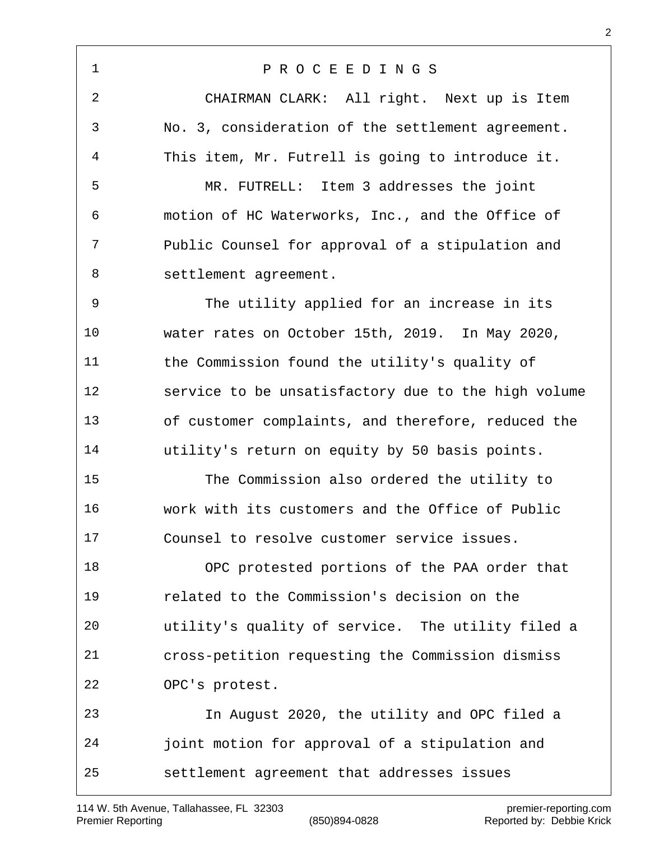P R O C E E D I N G S CHAIRMAN CLARK: All right. Next up is Item No. 3, consideration of the settlement agreement. This item, Mr. Futrell is going to introduce it. MR. FUTRELL: Item 3 addresses the joint motion of HC Waterworks, Inc., and the Office of Public Counsel for approval of a stipulation and settlement agreement. The utility applied for an increase in its water rates on October 15th, 2019. In May 2020, the Commission found the utility's quality of service to be unsatisfactory due to the high volume of customer complaints, and therefore, reduced the utility's return on equity by 50 basis points. The Commission also ordered the utility to work with its customers and the Office of Public Counsel to resolve customer service issues. OPC protested portions of the PAA order that related to the Commission's decision on the utility's quality of service. The utility filed a cross-petition requesting the Commission dismiss OPC's protest. In August 2020, the utility and OPC filed a joint motion for approval of a stipulation and settlement agreement that addresses issues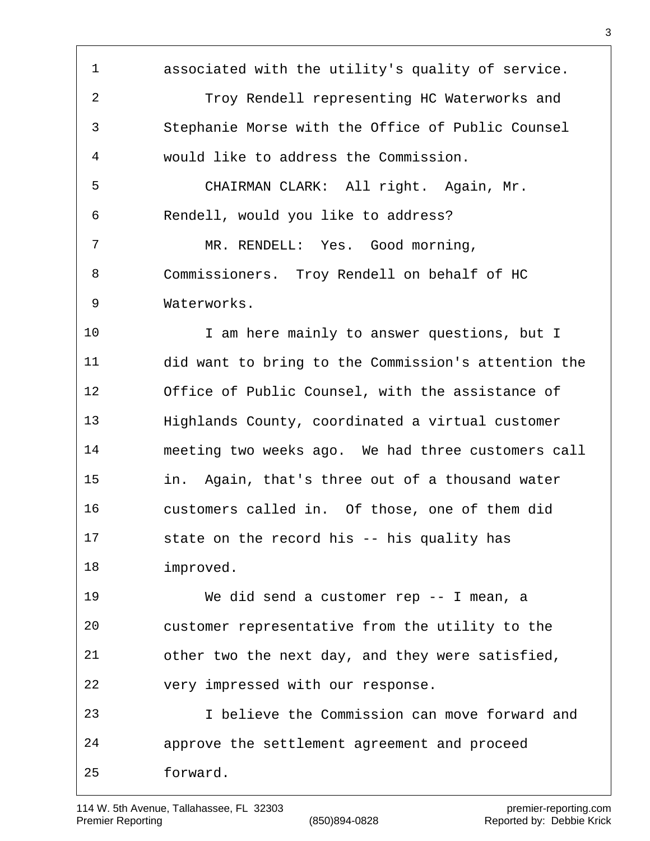associated with the utility's quality of service. Troy Rendell representing HC Waterworks and Stephanie Morse with the Office of Public Counsel would like to address the Commission. CHAIRMAN CLARK: All right. Again, Mr. Rendell, would you like to address? MR. RENDELL: Yes. Good morning, Commissioners. Troy Rendell on behalf of HC Waterworks. 10 10 I am here mainly to answer questions, but I did want to bring to the Commission's attention the Office of Public Counsel, with the assistance of Highlands County, coordinated a virtual customer meeting two weeks ago. We had three customers call in. Again, that's three out of a thousand water customers called in. Of those, one of them did state on the record his -- his quality has improved. We did send a customer rep -- I mean, a customer representative from the utility to the other two the next day, and they were satisfied, very impressed with our response. I believe the Commission can move forward and approve the settlement agreement and proceed forward.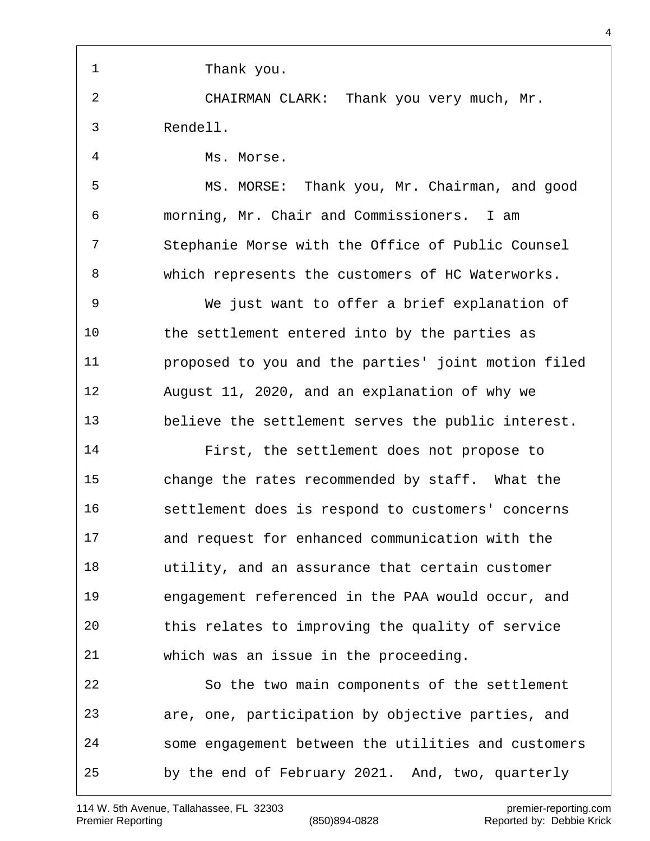1 Thank you. CHAIRMAN CLARK: Thank you very much, Mr. Rendell. Ms. Morse. MS. MORSE: Thank you, Mr. Chairman, and good morning, Mr. Chair and Commissioners. I am Stephanie Morse with the Office of Public Counsel which represents the customers of HC Waterworks. We just want to offer a brief explanation of the settlement entered into by the parties as proposed to you and the parties' joint motion filed August 11, 2020, and an explanation of why we believe the settlement serves the public interest. First, the settlement does not propose to change the rates recommended by staff. What the settlement does is respond to customers' concerns and request for enhanced communication with the utility, and an assurance that certain customer engagement referenced in the PAA would occur, and this relates to improving the quality of service which was an issue in the proceeding. So the two main components of the settlement are, one, participation by objective parties, and some engagement between the utilities and customers by the end of February 2021. And, two, quarterly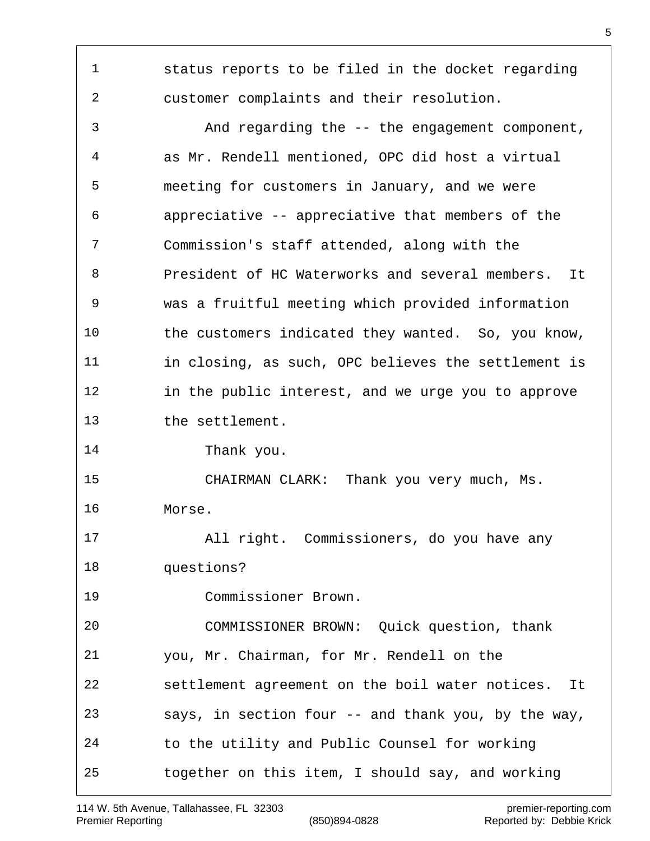status reports to be filed in the docket regarding customer complaints and their resolution. And regarding the -- the engagement component, as Mr. Rendell mentioned, OPC did host a virtual meeting for customers in January, and we were appreciative -- appreciative that members of the Commission's staff attended, along with the President of HC Waterworks and several members. It was a fruitful meeting which provided information the customers indicated they wanted. So, you know, in closing, as such, OPC believes the settlement is in the public interest, and we urge you to approve the settlement. Thank you. CHAIRMAN CLARK: Thank you very much, Ms. Morse. All right. Commissioners, do you have any questions? Commissioner Brown. COMMISSIONER BROWN: Quick question, thank you, Mr. Chairman, for Mr. Rendell on the settlement agreement on the boil water notices. It says, in section four -- and thank you, by the way, to the utility and Public Counsel for working together on this item, I should say, and working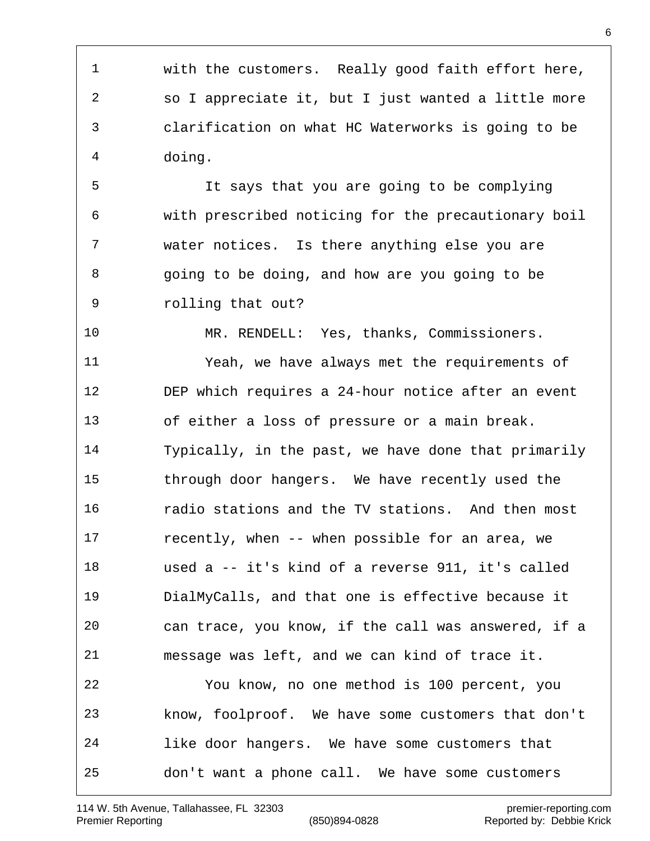with the customers. Really good faith effort here, so I appreciate it, but I just wanted a little more clarification on what HC Waterworks is going to be doing.

 It says that you are going to be complying with prescribed noticing for the precautionary boil water notices. Is there anything else you are going to be doing, and how are you going to be rolling that out?

 MR. RENDELL: Yes, thanks, Commissioners. Yeah, we have always met the requirements of DEP which requires a 24-hour notice after an event of either a loss of pressure or a main break. Typically, in the past, we have done that primarily through door hangers. We have recently used the radio stations and the TV stations. And then most recently, when -- when possible for an area, we used a -- it's kind of a reverse 911, it's called DialMyCalls, and that one is effective because it can trace, you know, if the call was answered, if a message was left, and we can kind of trace it. You know, no one method is 100 percent, you know, foolproof. We have some customers that don't like door hangers. We have some customers that don't want a phone call. We have some customers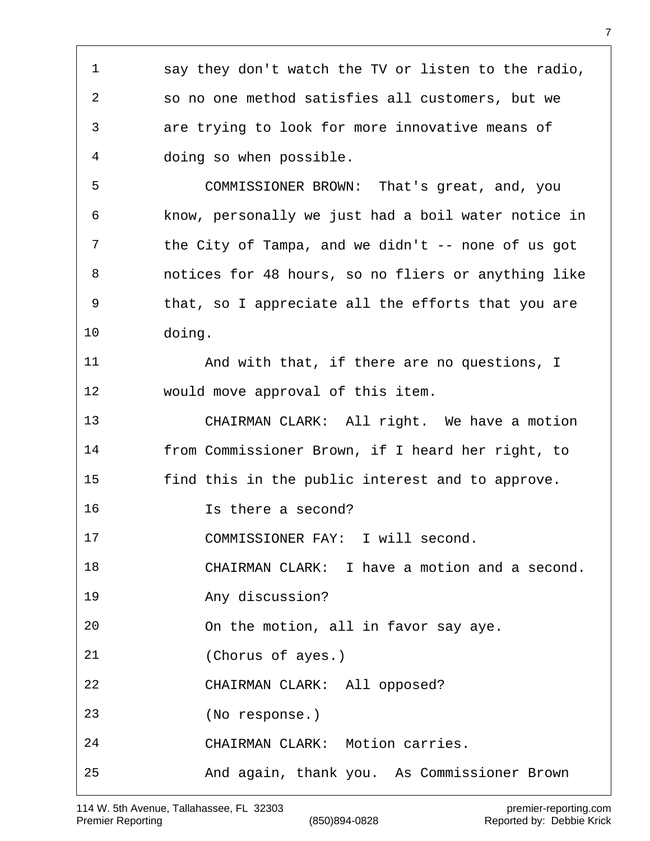say they don't watch the TV or listen to the radio, so no one method satisfies all customers, but we are trying to look for more innovative means of doing so when possible. COMMISSIONER BROWN: That's great, and, you know, personally we just had a boil water notice in 7 the City of Tampa, and we didn't -- none of us got notices for 48 hours, so no fliers or anything like that, so I appreciate all the efforts that you are doing. And with that, if there are no questions, I would move approval of this item. CHAIRMAN CLARK: All right. We have a motion from Commissioner Brown, if I heard her right, to find this in the public interest and to approve. Is there a second? 17 COMMISSIONER FAY: I will second. CHAIRMAN CLARK: I have a motion and a second. Any discussion? On the motion, all in favor say aye. (Chorus of ayes.) CHAIRMAN CLARK: All opposed? (No response.) CHAIRMAN CLARK: Motion carries. And again, thank you. As Commissioner Brown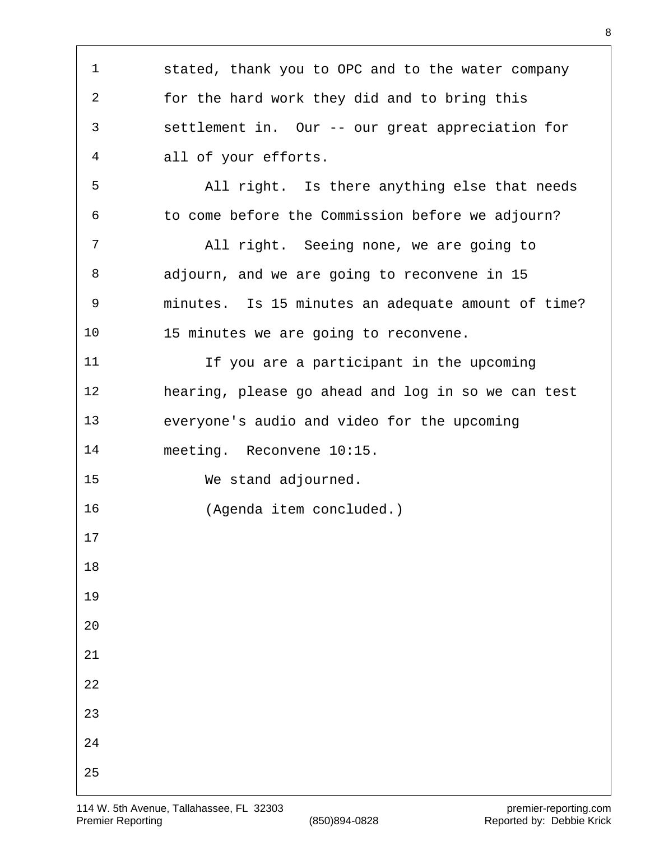| 1              | stated, thank you to OPC and to the water company  |
|----------------|----------------------------------------------------|
| 2              | for the hard work they did and to bring this       |
| 3              | settlement in. Our -- our great appreciation for   |
| $\overline{4}$ | all of your efforts.                               |
| 5              | All right. Is there anything else that needs       |
| 6              | to come before the Commission before we adjourn?   |
| 7              | All right. Seeing none, we are going to            |
| 8              | adjourn, and we are going to reconvene in 15       |
| 9              | minutes. Is 15 minutes an adequate amount of time? |
| 10             | 15 minutes we are going to reconvene.              |
| 11             | If you are a participant in the upcoming           |
| 12             | hearing, please go ahead and log in so we can test |
| 13             | everyone's audio and video for the upcoming        |
| 14             | meeting. Reconvene 10:15.                          |
| 15             | We stand adjourned.                                |
| 16             | (Agenda item concluded.)                           |
| $17$           |                                                    |
| 18             |                                                    |
| 19             |                                                    |
| 20             |                                                    |
| 21             |                                                    |
| 22             |                                                    |
| 23             |                                                    |
| 24             |                                                    |
| 25             |                                                    |